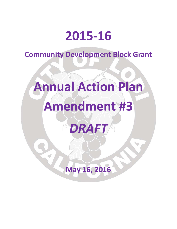## **2015-16**

**Community Development Block Grant**

# **Annual Action Plan Amendment #3**

*DRAFT*

**May 16, 2016**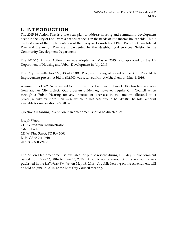#### **I. INTRODUCTION**

The 2015-16 Action Plan is a one-year plan to address housing and community development needs in the City of Lodi, with a particular focus on the needs of low-income households. This is the first year of the implementation of the five-year Consolidated Plan. Both the Consolidated Plan and the Action Plan are implemented by the Neighborhood Services Division in the Community Development Department.

The 2015-16 Annual Action Plan was adopted on May 6, 2015, and approved by the US Department of Housing and Urban Development in July 2015.

The City currently has \$69,943 of CDBG Program funding allocated to the Kofu Park ADA Improvement project. A bid of \$92,500 was received from AM Stephens on May 4, 2016.

A minimum of \$22,557 is needed to fund this project and we do have CDBG funding available from another City project. Our program guidelines, however, require City Council action through a Public Hearing for any increase or decrease in the amount allocated to a project/activity by more than 25%, which in this case would be \$17,485.The total amount available for reallocation is \$120,943.

Questions regarding this Action Plan amendment should be directed to:

Joseph Wood CDBG Program Administrator City of Lodi 221 W. Pine Street, PO Box 3006 Lodi, CA 95241-1910 209-333-6800 x2467

The Action Plan amendment is available for public review during a 30-day public comment period from May 16, 2016 to June 15, 2016. A public notice announcing its availability was published in the *Lodi News-Sentinel* on May 18, 2016. A public hearing on the Amendment will be held on June 15, 2016, at the Lodi City Council meeting.